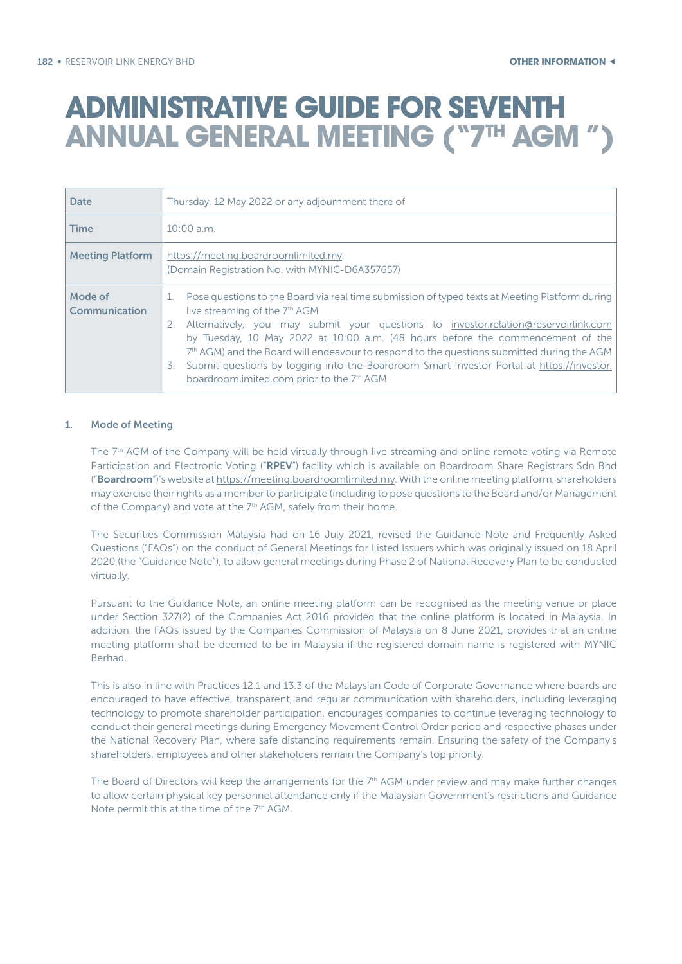| <b>Date</b>              | Thursday, 12 May 2022 or any adjournment there of                                                                                                                                                                                                                                                                                                                                                                                                                                                                                                                                      |  |
|--------------------------|----------------------------------------------------------------------------------------------------------------------------------------------------------------------------------------------------------------------------------------------------------------------------------------------------------------------------------------------------------------------------------------------------------------------------------------------------------------------------------------------------------------------------------------------------------------------------------------|--|
| <b>Time</b>              | $10:00$ a.m.                                                                                                                                                                                                                                                                                                                                                                                                                                                                                                                                                                           |  |
| <b>Meeting Platform</b>  | https://meeting.boardroomlimited.my<br>(Domain Registration No. with MYNIC-D6A357657)                                                                                                                                                                                                                                                                                                                                                                                                                                                                                                  |  |
| Mode of<br>Communication | Pose questions to the Board via real time submission of typed texts at Meeting Platform during<br>live streaming of the 7 <sup>th</sup> AGM<br>Alternatively, you may submit your questions to investor.relation@reservoirlink.com<br>2.<br>by Tuesday, 10 May 2022 at 10:00 a.m. (48 hours before the commencement of the<br>$7th$ AGM) and the Board will endeavour to respond to the questions submitted during the AGM<br>Submit questions by logging into the Boardroom Smart Investor Portal at https://investor.<br>3.<br>boardroomlimited.com prior to the 7 <sup>th</sup> AGM |  |

#### 1. Mode of Meeting

The 7<sup>th</sup> AGM of the Company will be held virtually through live streaming and online remote voting via Remote Participation and Electronic Voting ("RPEV") facility which is available on Boardroom Share Registrars Sdn Bhd ("Boardroom")'s website at https://meeting.boardroomlimited.my. With the online meeting platform, shareholders may exercise their rights as a member to participate (including to pose questions to the Board and/or Management of the Company) and vote at the 7<sup>th</sup> AGM, safely from their home.

The Securities Commission Malaysia had on 16 July 2021, revised the Guidance Note and Frequently Asked Questions ("FAQs") on the conduct of General Meetings for Listed Issuers which was originally issued on 18 April 2020 (the "Guidance Note"), to allow general meetings during Phase 2 of National Recovery Plan to be conducted virtually.

Pursuant to the Guidance Note, an online meeting platform can be recognised as the meeting venue or place under Section 327(2) of the Companies Act 2016 provided that the online platform is located in Malaysia. In addition, the FAQs issued by the Companies Commission of Malaysia on 8 June 2021, provides that an online meeting platform shall be deemed to be in Malaysia if the registered domain name is registered with MYNIC Berhad.

This is also in line with Practices 12.1 and 13.3 of the Malaysian Code of Corporate Governance where boards are encouraged to have effective, transparent, and regular communication with shareholders, including leveraging technology to promote shareholder participation. encourages companies to continue leveraging technology to conduct their general meetings during Emergency Movement Control Order period and respective phases under the National Recovery Plan, where safe distancing requirements remain. Ensuring the safety of the Company's shareholders, employees and other stakeholders remain the Company's top priority.

The Board of Directors will keep the arrangements for the 7<sup>th</sup> AGM under review and may make further changes to allow certain physical key personnel attendance only if the Malaysian Government's restrictions and Guidance Note permit this at the time of the 7<sup>th</sup> AGM.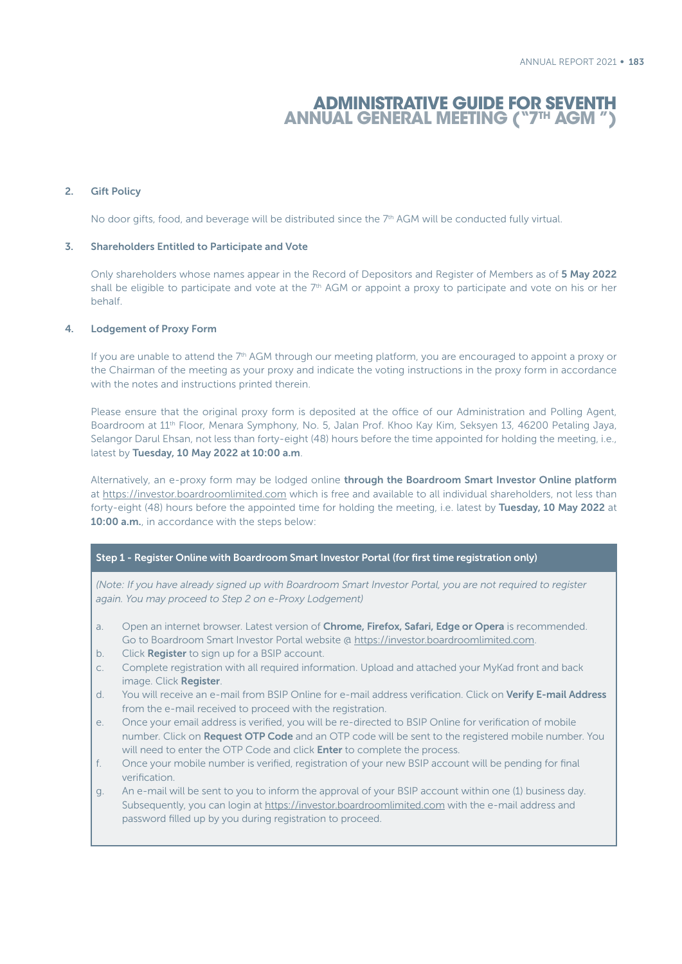### 2. Gift Policy

No door gifts, food, and beverage will be distributed since the 7<sup>th</sup> AGM will be conducted fully virtual.

#### 3. Shareholders Entitled to Participate and Vote

Only shareholders whose names appear in the Record of Depositors and Register of Members as of 5 May 2022 shall be eligible to participate and vote at the 7<sup>th</sup> AGM or appoint a proxy to participate and vote on his or her behalf.

#### 4. Lodgement of Proxy Form

If you are unable to attend the 7<sup>th</sup> AGM through our meeting platform, you are encouraged to appoint a proxy or the Chairman of the meeting as your proxy and indicate the voting instructions in the proxy form in accordance with the notes and instructions printed therein.

Please ensure that the original proxy form is deposited at the office of our Administration and Polling Agent, Boardroom at 11th Floor, Menara Symphony, No. 5, Jalan Prof. Khoo Kay Kim, Seksyen 13, 46200 Petaling Jaya, Selangor Darul Ehsan, not less than forty-eight (48) hours before the time appointed for holding the meeting, i.e., latest by Tuesday, 10 May 2022 at 10:00 a.m.

Alternatively, an e-proxy form may be lodged online through the Boardroom Smart Investor Online platform at https://investor.boardroomlimited.com which is free and available to all individual shareholders, not less than forty-eight (48) hours before the appointed time for holding the meeting, i.e. latest by Tuesday, 10 May 2022 at 10:00 a.m., in accordance with the steps below:

### Step 1 - Register Online with Boardroom Smart Investor Portal (for first time registration only)

*(Note: If you have already signed up with Boardroom Smart Investor Portal, you are not required to register again. You may proceed to Step 2 on e-Proxy Lodgement)*

- a. Open an internet browser. Latest version of Chrome, Firefox, Safari, Edge or Opera is recommended. Go to Boardroom Smart Investor Portal website @ https://investor.boardroomlimited.com.
- b. Click **Register** to sign up for a BSIP account.
- c. Complete registration with all required information. Upload and attached your MyKad front and back image. Click Register.
- d. You will receive an e-mail from BSIP Online for e-mail address verification. Click on Verify E-mail Address from the e-mail received to proceed with the registration.
- e. Once your email address is verified, you will be re-directed to BSIP Online for verification of mobile number. Click on Request OTP Code and an OTP code will be sent to the registered mobile number. You will need to enter the OTP Code and click **Enter** to complete the process.
- f. Once your mobile number is verified, registration of your new BSIP account will be pending for final verification.
- g. An e-mail will be sent to you to inform the approval of your BSIP account within one (1) business day. Subsequently, you can login at https://investor.boardroomlimited.com with the e-mail address and password filled up by you during registration to proceed.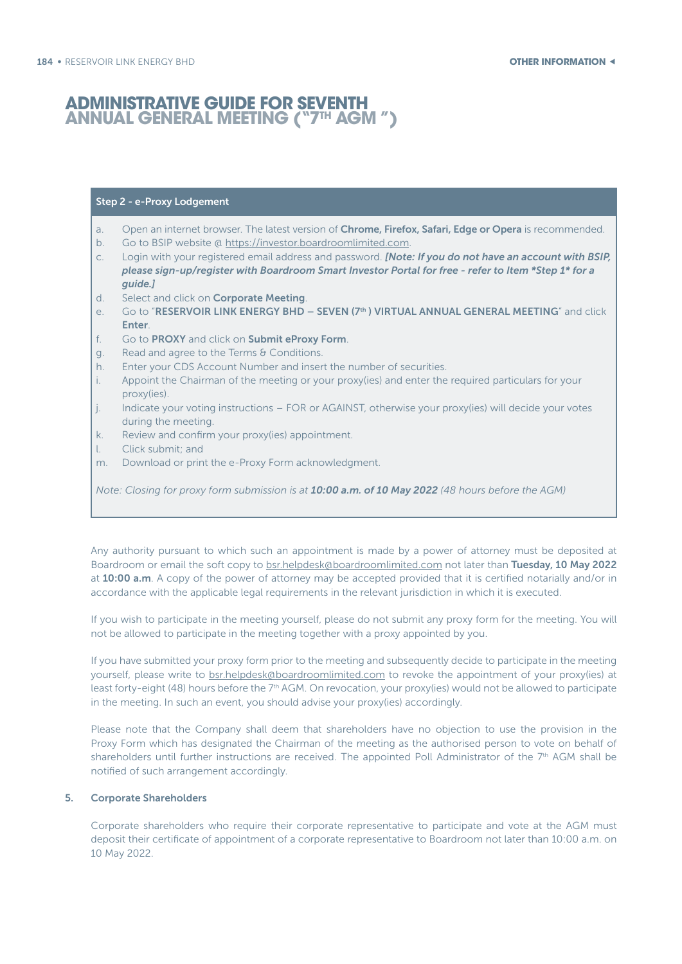### Step 2 - e-Proxy Lodgement

- a. Open an internet browser. The latest version of Chrome, Firefox, Safari, Edge or Opera is recommended.
- b. Go to BSIP website @ https://investor.boardroomlimited.com.
- c. Login with your registered email address and password. *[Note: If you do not have an account with BSIP, please sign-up/register with Boardroom Smart Investor Portal for free - refer to Item \*Step 1\* for a guide.]*
- d. Select and click on Corporate Meeting.
- e. Go to "RESERVOIR LINK ENERGY BHD SEVEN (7<sup>th</sup>) VIRTUAL ANNUAL GENERAL MEETING" and click Enter.
- f. Go to PROXY and click on Submit eProxy Form.
- g. Read and agree to the Terms & Conditions.
- h. Enter your CDS Account Number and insert the number of securities.
- i. Appoint the Chairman of the meeting or your proxy(ies) and enter the required particulars for your proxy(ies).
- j. Indicate your voting instructions FOR or AGAINST, otherwise your proxy(ies) will decide your votes during the meeting.
- k. Review and confirm your proxy(ies) appointment.
- Click submit; and
- m. Download or print the e-Proxy Form acknowledgment.

*Note: Closing for proxy form submission is at 10:00 a.m. of 10 May 2022 (48 hours before the AGM)*

Any authority pursuant to which such an appointment is made by a power of attorney must be deposited at Boardroom or email the soft copy to bsr.helpdesk@boardroomlimited.com not later than Tuesday, 10 May 2022 at 10:00 a.m. A copy of the power of attorney may be accepted provided that it is certified notarially and/or in accordance with the applicable legal requirements in the relevant jurisdiction in which it is executed.

If you wish to participate in the meeting yourself, please do not submit any proxy form for the meeting. You will not be allowed to participate in the meeting together with a proxy appointed by you.

If you have submitted your proxy form prior to the meeting and subsequently decide to participate in the meeting yourself, please write to bsr.helpdesk@boardroomlimited.com to revoke the appointment of your proxy(ies) at least forty-eight (48) hours before the  $7<sup>th</sup>$  AGM. On revocation, your proxy(ies) would not be allowed to participate in the meeting. In such an event, you should advise your proxy(ies) accordingly.

Please note that the Company shall deem that shareholders have no objection to use the provision in the Proxy Form which has designated the Chairman of the meeting as the authorised person to vote on behalf of shareholders until further instructions are received. The appointed Poll Administrator of the 7<sup>th</sup> AGM shall be notified of such arrangement accordingly.

## 5. Corporate Shareholders

Corporate shareholders who require their corporate representative to participate and vote at the AGM must deposit their certificate of appointment of a corporate representative to Boardroom not later than 10:00 a.m. on 10 May 2022.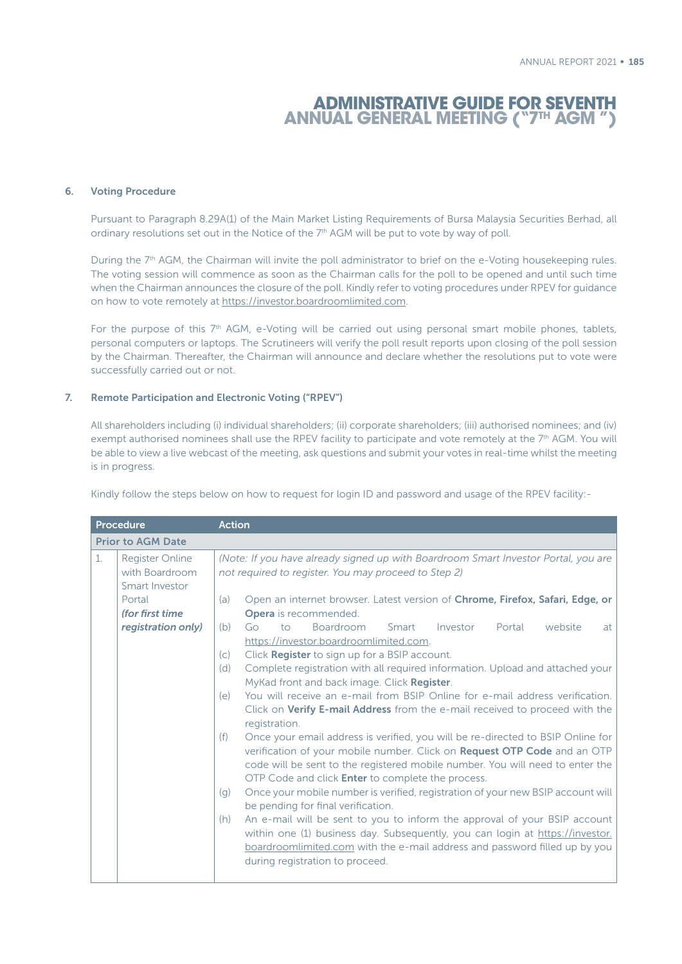#### 6. Voting Procedure

Pursuant to Paragraph 8.29A(1) of the Main Market Listing Requirements of Bursa Malaysia Securities Berhad, all ordinary resolutions set out in the Notice of the  $7<sup>th</sup>$  AGM will be put to vote by way of poll.

During the 7<sup>th</sup> AGM, the Chairman will invite the poll administrator to brief on the e-Voting housekeeping rules. The voting session will commence as soon as the Chairman calls for the poll to be opened and until such time when the Chairman announces the closure of the poll. Kindly refer to voting procedures under RPEV for guidance on how to vote remotely at https://investor.boardroomlimited.com.

For the purpose of this 7<sup>th</sup> AGM, e-Voting will be carried out using personal smart mobile phones, tablets, personal computers or laptops. The Scrutineers will verify the poll result reports upon closing of the poll session by the Chairman. Thereafter, the Chairman will announce and declare whether the resolutions put to vote were successfully carried out or not.

### 7. Remote Participation and Electronic Voting ("RPEV")

All shareholders including (i) individual shareholders; (ii) corporate shareholders; (iii) authorised nominees; and (iv) exempt authorised nominees shall use the RPEV facility to participate and vote remotely at the 7<sup>th</sup> AGM. You will be able to view a live webcast of the meeting, ask questions and submit your votes in real-time whilst the meeting is in progress.

Kindly follow the steps below on how to request for login ID and password and usage of the RPEV facility:-

|                | Procedure                                                  | <b>Action</b>                                                                                                                                                                                                                                                                                                   |  |  |  |
|----------------|------------------------------------------------------------|-----------------------------------------------------------------------------------------------------------------------------------------------------------------------------------------------------------------------------------------------------------------------------------------------------------------|--|--|--|
|                | <b>Prior to AGM Date</b>                                   |                                                                                                                                                                                                                                                                                                                 |  |  |  |
| $\mathbf{1}$ . | <b>Register Online</b><br>with Boardroom<br>Smart Investor | (Note: If you have already signed up with Boardroom Smart Investor Portal, you are<br>not required to register. You may proceed to Step 2)                                                                                                                                                                      |  |  |  |
|                | Portal<br>(for first time)                                 | Open an internet browser. Latest version of Chrome, Firefox, Safari, Edge, or<br>(a)<br><b>Opera</b> is recommended.                                                                                                                                                                                            |  |  |  |
|                | registration only)                                         | Boardroom<br>Smart<br>Investor<br>Portal<br>website<br>Go<br>to<br>(b)<br>at<br>https://investor.boardroomlimited.com.                                                                                                                                                                                          |  |  |  |
|                |                                                            | Click Register to sign up for a BSIP account.<br>(c)<br>Complete registration with all required information. Upload and attached your<br>(d)<br>MyKad front and back image. Click Register.                                                                                                                     |  |  |  |
|                |                                                            | You will receive an e-mail from BSIP Online for e-mail address verification.<br>(e)<br>Click on Verify E-mail Address from the e-mail received to proceed with the<br>registration.                                                                                                                             |  |  |  |
|                |                                                            | Once your email address is verified, you will be re-directed to BSIP Online for<br>(f)<br>verification of your mobile number. Click on Request OTP Code and an OTP<br>code will be sent to the registered mobile number. You will need to enter the<br>OTP Code and click <b>Enter</b> to complete the process. |  |  |  |
|                |                                                            | Once your mobile number is verified, registration of your new BSIP account will<br>(q)<br>be pending for final verification.                                                                                                                                                                                    |  |  |  |
|                |                                                            | An e-mail will be sent to you to inform the approval of your BSIP account<br>(h)<br>within one (1) business day. Subsequently, you can login at https://investor.<br>boardroomlimited.com with the e-mail address and password filled up by you<br>during registration to proceed.                              |  |  |  |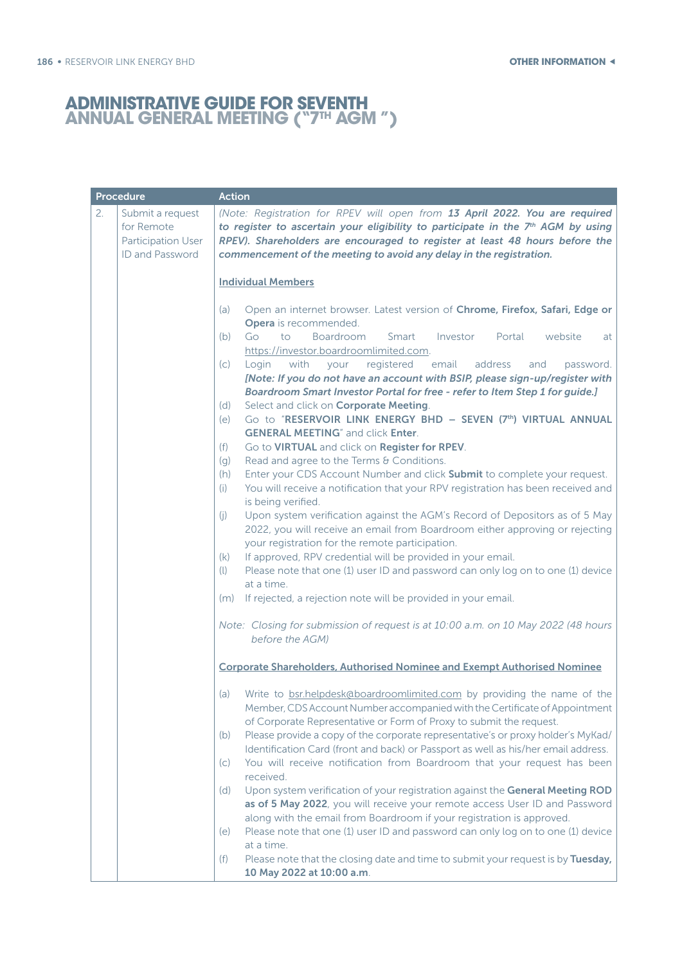| Procedure        |                                                                                  | <b>Action</b>                                                                                                                                                                                                                                                                                                                                                                                                                                                                                                                                                                                                                                                                                                                                                                                                                                                                                                                                                                                                                                                                                                                                                                                                                                                                                                                                                                                                                                                                            |
|------------------|----------------------------------------------------------------------------------|------------------------------------------------------------------------------------------------------------------------------------------------------------------------------------------------------------------------------------------------------------------------------------------------------------------------------------------------------------------------------------------------------------------------------------------------------------------------------------------------------------------------------------------------------------------------------------------------------------------------------------------------------------------------------------------------------------------------------------------------------------------------------------------------------------------------------------------------------------------------------------------------------------------------------------------------------------------------------------------------------------------------------------------------------------------------------------------------------------------------------------------------------------------------------------------------------------------------------------------------------------------------------------------------------------------------------------------------------------------------------------------------------------------------------------------------------------------------------------------|
| 2.<br>for Remote | Submit a request<br>Participation User<br>ID and Password                        | (Note: Registration for RPEV will open from 13 April 2022. You are required<br>to register to ascertain your eligibility to participate in the 7th AGM by using<br>RPEV). Shareholders are encouraged to register at least 48 hours before the<br>commencement of the meeting to avoid any delay in the registration.                                                                                                                                                                                                                                                                                                                                                                                                                                                                                                                                                                                                                                                                                                                                                                                                                                                                                                                                                                                                                                                                                                                                                                    |
|                  |                                                                                  | <b>Individual Members</b>                                                                                                                                                                                                                                                                                                                                                                                                                                                                                                                                                                                                                                                                                                                                                                                                                                                                                                                                                                                                                                                                                                                                                                                                                                                                                                                                                                                                                                                                |
|                  | (a)<br>(b)<br>(C)<br>(d)<br>(e)<br>(f)<br>(q)<br>(h)<br>(i)<br>(i)<br>(k)<br>(1) | Open an internet browser. Latest version of Chrome, Firefox, Safari, Edge or<br>Opera is recommended.<br>Go<br>to<br><b>Boardroom</b><br>Smart<br>Investor<br>Portal<br>website<br>at<br>https://investor.boardroomlimited.com.<br>Login<br>with<br>registered<br>email<br>address<br>your<br>and<br>password.<br>[Note: If you do not have an account with BSIP, please sign-up/register with<br>Boardroom Smart Investor Portal for free - refer to Item Step 1 for guide.]<br>Select and click on Corporate Meeting.<br>Go to "RESERVOIR LINK ENERGY BHD - SEVEN (7th) VIRTUAL ANNUAL<br><b>GENERAL MEETING</b> " and click Enter.<br>Go to VIRTUAL and click on Register for RPEV.<br>Read and agree to the Terms & Conditions.<br>Enter your CDS Account Number and click Submit to complete your request.<br>You will receive a notification that your RPV registration has been received and<br>is being verified.<br>Upon system verification against the AGM's Record of Depositors as of 5 May<br>2022, you will receive an email from Boardroom either approving or rejecting<br>your registration for the remote participation.<br>If approved, RPV credential will be provided in your email.<br>Please note that one (1) user ID and password can only log on to one (1) device<br>at a time.<br>(m) If rejected, a rejection note will be provided in your email.<br>Note: Closing for submission of request is at 10:00 a.m. on 10 May 2022 (48 hours<br>before the AGM) |
|                  |                                                                                  |                                                                                                                                                                                                                                                                                                                                                                                                                                                                                                                                                                                                                                                                                                                                                                                                                                                                                                                                                                                                                                                                                                                                                                                                                                                                                                                                                                                                                                                                                          |
|                  |                                                                                  | <b>Corporate Shareholders, Authorised Nominee and Exempt Authorised Nominee</b>                                                                                                                                                                                                                                                                                                                                                                                                                                                                                                                                                                                                                                                                                                                                                                                                                                                                                                                                                                                                                                                                                                                                                                                                                                                                                                                                                                                                          |
|                  | (a)<br>(b)                                                                       | Write to bsr.helpdesk@boardroomlimited.com by providing the name of the<br>Member, CDS Account Number accompanied with the Certificate of Appointment<br>of Corporate Representative or Form of Proxy to submit the request.<br>Please provide a copy of the corporate representative's or proxy holder's MyKad/                                                                                                                                                                                                                                                                                                                                                                                                                                                                                                                                                                                                                                                                                                                                                                                                                                                                                                                                                                                                                                                                                                                                                                         |
|                  | (C)                                                                              | Identification Card (front and back) or Passport as well as his/her email address.<br>You will receive notification from Boardroom that your request has been<br>received.                                                                                                                                                                                                                                                                                                                                                                                                                                                                                                                                                                                                                                                                                                                                                                                                                                                                                                                                                                                                                                                                                                                                                                                                                                                                                                               |
|                  | (d)                                                                              | Upon system verification of your registration against the General Meeting ROD<br>as of 5 May 2022, you will receive your remote access User ID and Password<br>along with the email from Boardroom if your registration is approved.                                                                                                                                                                                                                                                                                                                                                                                                                                                                                                                                                                                                                                                                                                                                                                                                                                                                                                                                                                                                                                                                                                                                                                                                                                                     |
|                  | (e)<br>(f)                                                                       | Please note that one (1) user ID and password can only log on to one (1) device<br>at a time.<br>Please note that the closing date and time to submit your request is by Tuesday,<br>10 May 2022 at 10:00 a.m.                                                                                                                                                                                                                                                                                                                                                                                                                                                                                                                                                                                                                                                                                                                                                                                                                                                                                                                                                                                                                                                                                                                                                                                                                                                                           |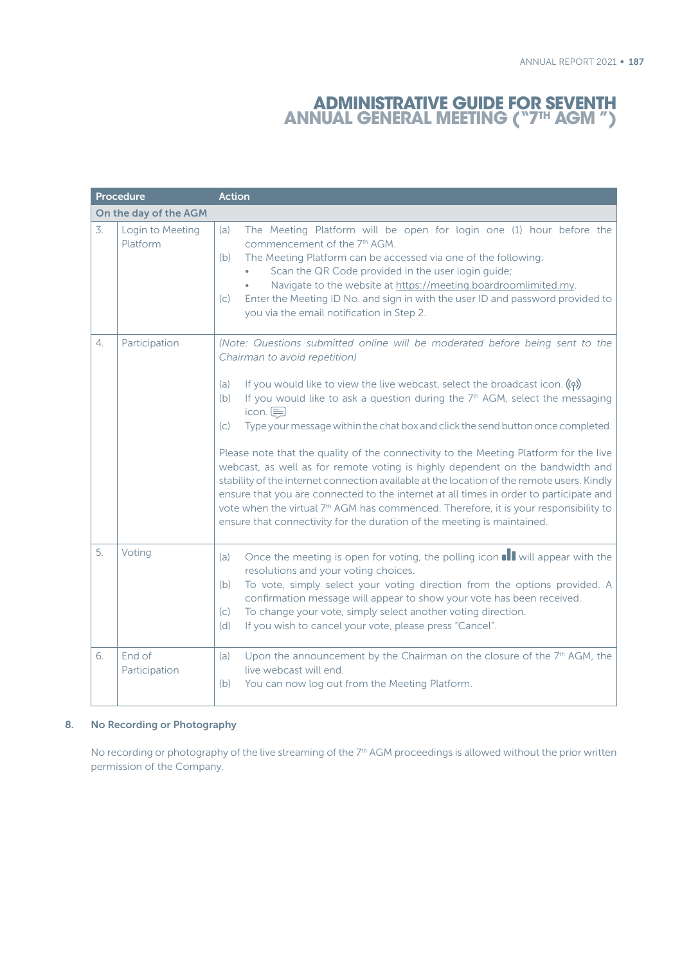| <b>Procedure</b> |                              | <b>Action</b>                                                                                                                                                                                                                                                                                                                                                                                                                                                                                                                                                                                                                                                                                                                                                                                                                                                                                                                                             |  |  |  |
|------------------|------------------------------|-----------------------------------------------------------------------------------------------------------------------------------------------------------------------------------------------------------------------------------------------------------------------------------------------------------------------------------------------------------------------------------------------------------------------------------------------------------------------------------------------------------------------------------------------------------------------------------------------------------------------------------------------------------------------------------------------------------------------------------------------------------------------------------------------------------------------------------------------------------------------------------------------------------------------------------------------------------|--|--|--|
|                  | On the day of the AGM        |                                                                                                                                                                                                                                                                                                                                                                                                                                                                                                                                                                                                                                                                                                                                                                                                                                                                                                                                                           |  |  |  |
| $\overline{3}$ . | Login to Meeting<br>Platform | The Meeting Platform will be open for login one (1) hour before the<br>(a)<br>commencement of the 7th AGM.<br>The Meeting Platform can be accessed via one of the following:<br>(b)<br>Scan the QR Code provided in the user login guide;<br>Navigate to the website at https://meeting.boardroomlimited.my.<br>Enter the Meeting ID No. and sign in with the user ID and password provided to<br>(c)<br>you via the email notification in Step 2.                                                                                                                                                                                                                                                                                                                                                                                                                                                                                                        |  |  |  |
| 4.               | Participation                | (Note: Questions submitted online will be moderated before being sent to the<br>Chairman to avoid repetition)<br>If you would like to view the live webcast, select the broadcast icon. $(q)$<br>(a)<br>If you would like to ask a question during the 7th AGM, select the messaging<br>(b)<br>icon. $\equiv$<br>Type your message within the chat box and click the send button once completed.<br>(C)<br>Please note that the quality of the connectivity to the Meeting Platform for the live<br>webcast, as well as for remote voting is highly dependent on the bandwidth and<br>stability of the internet connection available at the location of the remote users. Kindly<br>ensure that you are connected to the internet at all times in order to participate and<br>vote when the virtual 7 <sup>th</sup> AGM has commenced. Therefore, it is your responsibility to<br>ensure that connectivity for the duration of the meeting is maintained. |  |  |  |
| 5.               | Voting                       | Once the meeting is open for voting, the polling icon <b>II</b> will appear with the<br>(a)<br>resolutions and your voting choices.<br>To vote, simply select your voting direction from the options provided. A<br>(b)<br>confirmation message will appear to show your vote has been received.<br>To change your vote, simply select another voting direction.<br>(c)<br>(d)<br>If you wish to cancel your vote, please press "Cancel".                                                                                                                                                                                                                                                                                                                                                                                                                                                                                                                 |  |  |  |
| 6.               | End of<br>Participation      | Upon the announcement by the Chairman on the closure of the 7 <sup>th</sup> AGM, the<br>(a)<br>live webcast will end.<br>You can now log out from the Meeting Platform.<br>(b)                                                                                                                                                                                                                                                                                                                                                                                                                                                                                                                                                                                                                                                                                                                                                                            |  |  |  |

### 8. No Recording or Photography

No recording or photography of the live streaming of the 7<sup>th</sup> AGM proceedings is allowed without the prior written permission of the Company.